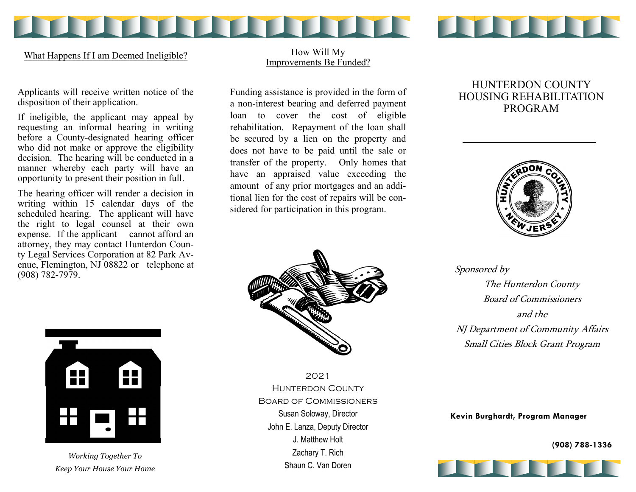**TYTYTY** 11 11 11 11 11 11 11

What Happens If I am Deemed Ineligible?

How Will My Improvements Be Funded?

Applicants will receive written notice of the disposition of their application.

If ineligible, the applicant may appeal by requesting an informal hearing in writing before a County-designated hearing officer who did not make or approve the eligibility decision. The hearing will be conducted in a manner whereby each party will have an opportunity to present their position in full.

The hearing officer will render a decision in writing within 15 calendar days of the scheduled hearing. The applicant will have the right to legal counsel at their own expense. If the applicant cannot afford an attorney, they may contact Hunterdon County Legal Services Corporation at 82 Park Avenue, Flemington, NJ 08822 or telephone at (908) 782-7979.

Funding assistance is provided in the form of a non-interest bearing and deferred payment loan to cover the cost of eligible rehabilitation. Repayment of the loan shall be secured by a lien on the property and does not have to be paid until the sale or transfer of the property. Only homes that have an appraised value exceeding the amount of any prior mortgages and an additional lien for the cost of repairs will be considered for participation in this program.

# HUNTERDON COUNTY HOUSING REHABILITATION PROGRAM







*Working Together To Keep Your House Your Home*

2021 Hunterdon County Board of Commissioners Susan Soloway, Director John E. Lanza, Deputy Director J. Matthew Holt Zachary T. Rich Shaun C. Van Doren

Sponsored by The Hunterdon County Board of Commissioners and the NJ Department of Community Affairs Small Cities Block Grant Program

**Kevin Burghardt, Program Manager**

**(908) 788-1336**